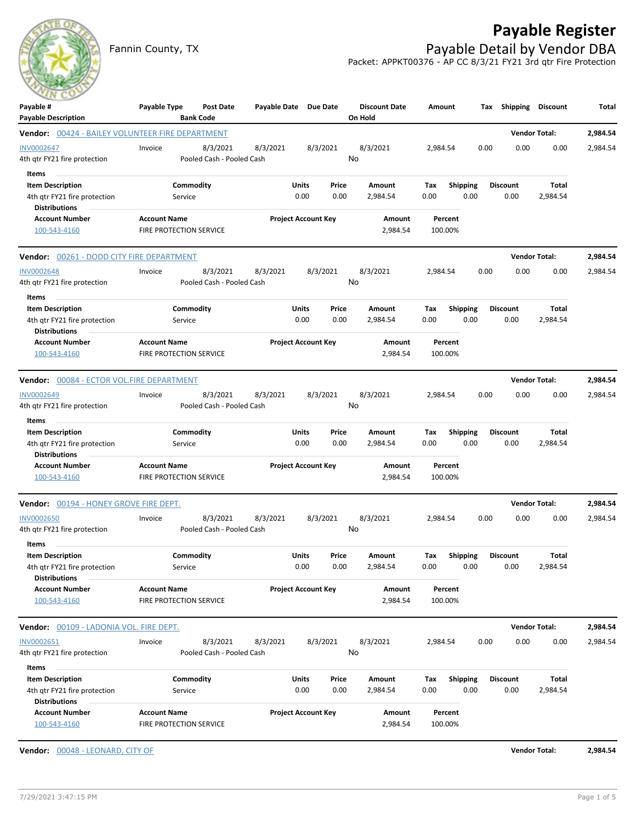

## **Payable Register**

Fannin County, TX **Payable Detail by Vendor DBA** Packet: APPKT00376 - AP CC 8/3/21 FY21 3rd qtr Fire Protection

| Payable #<br><b>Payable Description</b>                 | Payable Type                                   | <b>Post Date</b><br><b>Bank Code</b>  | Payable Date Due Date |                            |               | <b>Discount Date</b><br>On Hold | Amount      |                         | Tax  | Shipping                | <b>Discount</b>          | Total    |
|---------------------------------------------------------|------------------------------------------------|---------------------------------------|-----------------------|----------------------------|---------------|---------------------------------|-------------|-------------------------|------|-------------------------|--------------------------|----------|
| Vendor: 00424 - BAILEY VOLUNTEER FIRE DEPARTMENT        |                                                |                                       |                       |                            |               |                                 |             |                         |      |                         | <b>Vendor Total:</b>     | 2,984.54 |
| <b>INV0002647</b><br>4th qtr FY21 fire protection       | Invoice                                        | 8/3/2021<br>Pooled Cash - Pooled Cash | 8/3/2021              |                            | 8/3/2021      | 8/3/2021<br>No                  | 2.984.54    |                         | 0.00 | 0.00                    | 0.00                     | 2,984.54 |
| Items                                                   |                                                |                                       |                       |                            |               |                                 |             |                         |      |                         |                          |          |
| <b>Item Description</b>                                 | Commodity                                      |                                       |                       | Units                      | Price         | Amount                          | Tax         | Shipping                |      | <b>Discount</b>         | Total                    |          |
| 4th gtr FY21 fire protection                            | Service                                        |                                       |                       | 0.00                       | 0.00          | 2,984.54                        | 0.00        | 0.00                    |      | 0.00                    | 2,984.54                 |          |
| <b>Distributions</b><br><b>Account Number</b>           | <b>Account Name</b>                            |                                       |                       | <b>Project Account Key</b> |               | Amount                          |             | Percent                 |      |                         |                          |          |
| 100-543-4160                                            | FIRE PROTECTION SERVICE                        |                                       |                       |                            |               | 2,984.54                        | 100.00%     |                         |      |                         |                          |          |
| Vendor: 00261 - DODD CITY FIRE DEPARTMENT               |                                                |                                       |                       |                            |               |                                 |             |                         |      |                         | <b>Vendor Total:</b>     | 2,984.54 |
| <b>INV0002648</b>                                       | Invoice                                        | 8/3/2021                              | 8/3/2021              |                            | 8/3/2021      | 8/3/2021                        | 2,984.54    |                         | 0.00 | 0.00                    | 0.00                     | 2,984.54 |
| 4th qtr FY21 fire protection                            |                                                | Pooled Cash - Pooled Cash             |                       |                            |               | No                              |             |                         |      |                         |                          |          |
| Items                                                   |                                                |                                       |                       |                            |               |                                 |             |                         |      |                         |                          |          |
| <b>Item Description</b><br>4th gtr FY21 fire protection | Commodity<br>Service                           |                                       |                       | Units<br>0.00              | Price<br>0.00 | Amount<br>2,984.54              | Tax<br>0.00 | <b>Shipping</b><br>0.00 |      | <b>Discount</b><br>0.00 | <b>Total</b><br>2,984.54 |          |
| <b>Distributions</b><br><b>Account Number</b>           | <b>Account Name</b>                            |                                       |                       | <b>Project Account Key</b> |               | Amount                          |             | Percent                 |      |                         |                          |          |
| 100-543-4160                                            | <b>FIRE PROTECTION SERVICE</b>                 |                                       |                       |                            |               | 2,984.54                        | 100.00%     |                         |      |                         |                          |          |
| Vendor: 00084 - ECTOR VOL.FIRE DEPARTMENT               |                                                |                                       |                       |                            |               |                                 |             |                         |      |                         | <b>Vendor Total:</b>     | 2,984.54 |
| INV0002649                                              | Invoice                                        | 8/3/2021                              | 8/3/2021              |                            | 8/3/2021      | 8/3/2021                        | 2,984.54    |                         | 0.00 | 0.00                    | 0.00                     | 2,984.54 |
| 4th qtr FY21 fire protection<br>Items                   |                                                | Pooled Cash - Pooled Cash             |                       |                            |               | No                              |             |                         |      |                         |                          |          |
| <b>Item Description</b>                                 | Commodity                                      |                                       |                       | Units                      | Price         | Amount                          | Tax         | <b>Shipping</b>         |      | <b>Discount</b>         | Total                    |          |
| 4th gtr FY21 fire protection<br><b>Distributions</b>    | Service                                        |                                       |                       | 0.00                       | 0.00          | 2,984.54                        | 0.00        | 0.00                    |      | 0.00                    | 2,984.54                 |          |
| <b>Account Number</b><br>100-543-4160                   | <b>Account Name</b><br>FIRE PROTECTION SERVICE |                                       |                       | <b>Project Account Key</b> |               | Amount<br>2,984.54              | 100.00%     | Percent                 |      |                         |                          |          |
| Vendor: 00194 - HONEY GROVE FIRE DEPT.                  |                                                |                                       |                       |                            |               |                                 |             |                         |      |                         | <b>Vendor Total:</b>     | 2,984.54 |
| INV0002650                                              | Invoice                                        | 8/3/2021                              | 8/3/2021              |                            | 8/3/2021      | 8/3/2021                        | 2,984.54    |                         | 0.00 | 0.00                    | 0.00                     | 2,984.54 |
| 4th gtr FY21 fire protection                            |                                                | Pooled Cash - Pooled Cash             |                       |                            |               | No                              |             |                         |      |                         |                          |          |
| Items                                                   |                                                |                                       |                       |                            |               |                                 |             |                         |      |                         |                          |          |
| <b>Item Description</b>                                 | Commodity                                      |                                       |                       | Units                      | Price         | Amount                          | Tax         | Shipping                |      | <b>Discount</b>         | <b>Total</b>             |          |
| 4th qtr FY21 fire protection<br><b>Distributions</b>    | Service                                        |                                       |                       | 0.00                       | 0.00          | 2,984.54                        | 0.00        | 0.00                    |      | 0.00                    | 2,984.54                 |          |
| <b>Account Number</b><br>100-543-4160                   | <b>Account Name</b><br>FIRE PROTECTION SERVICE |                                       |                       | <b>Project Account Key</b> |               | Amount<br>2,984.54              | 100.00%     | Percent                 |      |                         |                          |          |
| Vendor: 00109 - LADONIA VOL. FIRE DEPT.                 |                                                |                                       |                       |                            |               |                                 |             |                         |      |                         | <b>Vendor Total:</b>     | 2,984.54 |
| INV0002651                                              | Invoice                                        | 8/3/2021                              | 8/3/2021              |                            | 8/3/2021      | 8/3/2021                        | 2,984.54    |                         | 0.00 | 0.00                    | 0.00                     | 2,984.54 |
| 4th qtr FY21 fire protection<br>Items                   |                                                | Pooled Cash - Pooled Cash             |                       |                            |               | No                              |             |                         |      |                         |                          |          |
| <b>Item Description</b>                                 | Commodity                                      |                                       |                       | Units                      | Price         | Amount                          | Tax         | Shipping                |      | <b>Discount</b>         | Total                    |          |
| 4th qtr FY21 fire protection<br><b>Distributions</b>    | Service                                        |                                       |                       | 0.00                       | 0.00          | 2,984.54                        | 0.00        | 0.00                    |      | 0.00                    | 2,984.54                 |          |
| <b>Account Number</b>                                   | <b>Account Name</b>                            |                                       |                       | <b>Project Account Key</b> |               | Amount                          |             | Percent                 |      |                         |                          |          |
| 100-543-4160                                            | FIRE PROTECTION SERVICE                        |                                       |                       |                            |               | 2,984.54                        | 100.00%     |                         |      |                         |                          |          |
| Vendor: 00048 - LEONARD, CITY OF                        |                                                |                                       |                       |                            |               |                                 |             |                         |      |                         | <b>Vendor Total:</b>     | 2,984.54 |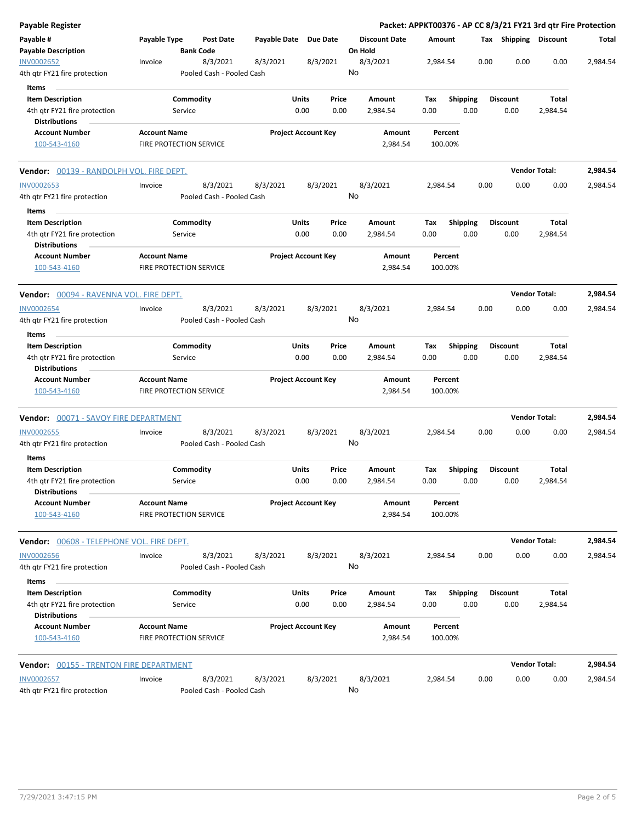| Payable Register                                                                         |                                                |                      |                                       |                       |                            |               |                                 |                    |                    |                         |      |                         | Packet: APPKT00376 - AP CC 8/3/21 FY21 3rd qtr Fire Protection |          |
|------------------------------------------------------------------------------------------|------------------------------------------------|----------------------|---------------------------------------|-----------------------|----------------------------|---------------|---------------------------------|--------------------|--------------------|-------------------------|------|-------------------------|----------------------------------------------------------------|----------|
| Payable #<br><b>Payable Description</b>                                                  | Payable Type                                   |                      | Post Date<br><b>Bank Code</b>         | Payable Date Due Date |                            |               | <b>Discount Date</b><br>On Hold |                    | Amount             |                         |      | Tax Shipping Discount   |                                                                | Total    |
| INV0002652<br>4th qtr FY21 fire protection                                               | Invoice                                        |                      | 8/3/2021<br>Pooled Cash - Pooled Cash | 8/3/2021              |                            | 8/3/2021      | 8/3/2021<br>No                  |                    | 2,984.54           |                         | 0.00 | 0.00                    | 0.00                                                           | 2,984.54 |
| Items                                                                                    |                                                |                      |                                       |                       |                            |               |                                 |                    |                    |                         |      |                         |                                                                |          |
| <b>Item Description</b>                                                                  |                                                | Commodity            |                                       |                       | Units                      | Price         | Amount                          |                    | Tax                | <b>Shipping</b>         |      | <b>Discount</b>         | Total                                                          |          |
| 4th qtr FY21 fire protection<br><b>Distributions</b>                                     |                                                | Service              |                                       |                       | 0.00                       | 0.00          | 2,984.54                        |                    | 0.00               | 0.00                    |      | 0.00                    | 2,984.54                                                       |          |
| <b>Account Number</b><br>100-543-4160                                                    | <b>Account Name</b><br>FIRE PROTECTION SERVICE |                      |                                       |                       | <b>Project Account Key</b> |               |                                 | Amount<br>2,984.54 | Percent<br>100.00% |                         |      |                         |                                                                |          |
| Vendor: 00139 - RANDOLPH VOL. FIRE DEPT.                                                 |                                                |                      |                                       |                       |                            |               |                                 |                    |                    |                         |      |                         | <b>Vendor Total:</b>                                           | 2,984.54 |
| <b>INV0002653</b>                                                                        | Invoice                                        |                      | 8/3/2021                              | 8/3/2021              |                            | 8/3/2021      | 8/3/2021                        |                    | 2,984.54           |                         | 0.00 | 0.00                    | 0.00                                                           | 2,984.54 |
| 4th qtr FY21 fire protection                                                             |                                                |                      | Pooled Cash - Pooled Cash             |                       |                            |               | No                              |                    |                    |                         |      |                         |                                                                |          |
| Items                                                                                    |                                                |                      |                                       |                       |                            |               |                                 |                    |                    |                         |      |                         |                                                                |          |
| <b>Item Description</b><br>4th gtr FY21 fire protection<br><b>Distributions</b>          |                                                | Commodity<br>Service |                                       |                       | Units<br>0.00              | Price<br>0.00 | Amount<br>2,984.54              |                    | Tax<br>0.00        | <b>Shipping</b><br>0.00 |      | <b>Discount</b><br>0.00 | Total<br>2,984.54                                              |          |
| <b>Account Number</b><br>100-543-4160                                                    | <b>Account Name</b><br>FIRE PROTECTION SERVICE |                      |                                       |                       | <b>Project Account Key</b> |               |                                 | Amount<br>2,984.54 | Percent<br>100.00% |                         |      |                         |                                                                |          |
| Vendor: 00094 - RAVENNA VOL. FIRE DEPT.                                                  |                                                |                      |                                       |                       |                            |               |                                 |                    |                    |                         |      |                         | <b>Vendor Total:</b>                                           | 2,984.54 |
| <b>INV0002654</b>                                                                        | Invoice                                        |                      | 8/3/2021                              | 8/3/2021              |                            | 8/3/2021      | 8/3/2021                        |                    | 2,984.54           |                         | 0.00 | 0.00                    | 0.00                                                           | 2,984.54 |
| 4th qtr FY21 fire protection                                                             |                                                |                      | Pooled Cash - Pooled Cash             |                       |                            |               | No                              |                    |                    |                         |      |                         |                                                                |          |
| Items                                                                                    |                                                |                      |                                       |                       |                            |               |                                 |                    |                    |                         |      |                         |                                                                |          |
| <b>Item Description</b><br>4th qtr FY21 fire protection<br><b>Distributions</b>          |                                                | Commodity<br>Service |                                       |                       | Units<br>0.00              | Price<br>0.00 | Amount<br>2,984.54              |                    | Tax<br>0.00        | <b>Shipping</b><br>0.00 |      | <b>Discount</b><br>0.00 | Total<br>2,984.54                                              |          |
| <b>Account Number</b><br>100-543-4160                                                    | <b>Account Name</b><br>FIRE PROTECTION SERVICE |                      |                                       |                       | <b>Project Account Key</b> |               |                                 | Amount<br>2,984.54 | Percent<br>100.00% |                         |      |                         |                                                                |          |
| <b>Vendor:</b> 00071 - SAVOY FIRE DEPARTMENT                                             |                                                |                      |                                       |                       |                            |               |                                 |                    |                    |                         |      |                         | <b>Vendor Total:</b>                                           | 2,984.54 |
| <b>INV0002655</b><br>4th qtr FY21 fire protection                                        | Invoice                                        |                      | 8/3/2021<br>Pooled Cash - Pooled Cash | 8/3/2021              |                            | 8/3/2021      | 8/3/2021<br>No                  |                    | 2,984.54           |                         | 0.00 | 0.00                    | 0.00                                                           | 2,984.54 |
| Items<br><b>Item Description</b><br>4th gtr FY21 fire protection<br><b>Distributions</b> |                                                | Commodity<br>Service |                                       |                       | Units<br>0.00              | Price<br>0.00 | Amount<br>2,984.54              |                    | Tax<br>0.00        | <b>Shipping</b><br>0.00 |      | <b>Discount</b><br>0.00 | Total<br>2,984.54                                              |          |
| <b>Account Number</b><br>100-543-4160                                                    | <b>Account Name</b><br>FIRE PROTECTION SERVICE |                      |                                       |                       | <b>Project Account Key</b> |               |                                 | Amount<br>2,984.54 | Percent<br>100.00% |                         |      |                         |                                                                |          |
| Vendor: 00608 - TELEPHONE VOL. FIRE DEPT.                                                |                                                |                      |                                       |                       |                            |               |                                 |                    |                    |                         |      |                         | <b>Vendor Total:</b>                                           | 2,984.54 |
| <b>INV0002656</b><br>4th qtr FY21 fire protection                                        | Invoice                                        |                      | 8/3/2021<br>Pooled Cash - Pooled Cash | 8/3/2021              |                            | 8/3/2021      | 8/3/2021<br>No                  |                    | 2,984.54           |                         | 0.00 | 0.00                    | 0.00                                                           | 2,984.54 |
| Items                                                                                    |                                                |                      |                                       |                       |                            |               |                                 |                    |                    |                         |      |                         |                                                                |          |
| <b>Item Description</b><br>4th qtr FY21 fire protection<br><b>Distributions</b>          |                                                | Commodity<br>Service |                                       |                       | Units<br>0.00              | Price<br>0.00 | Amount<br>2,984.54              |                    | Tax<br>0.00        | <b>Shipping</b><br>0.00 |      | <b>Discount</b><br>0.00 | Total<br>2,984.54                                              |          |
| <b>Account Number</b><br>100-543-4160                                                    | <b>Account Name</b><br>FIRE PROTECTION SERVICE |                      |                                       |                       | <b>Project Account Key</b> |               |                                 | Amount<br>2,984.54 | Percent<br>100.00% |                         |      |                         |                                                                |          |
| <b>Vendor:</b> 00155 - TRENTON FIRE DEPARTMENT                                           |                                                |                      |                                       |                       |                            |               |                                 |                    |                    |                         |      |                         | <b>Vendor Total:</b>                                           | 2,984.54 |
| <b>INV0002657</b><br>4th qtr FY21 fire protection                                        | Invoice                                        |                      | 8/3/2021<br>Pooled Cash - Pooled Cash | 8/3/2021              |                            | 8/3/2021      | 8/3/2021<br>No                  |                    | 2,984.54           |                         | 0.00 | 0.00                    | 0.00                                                           | 2,984.54 |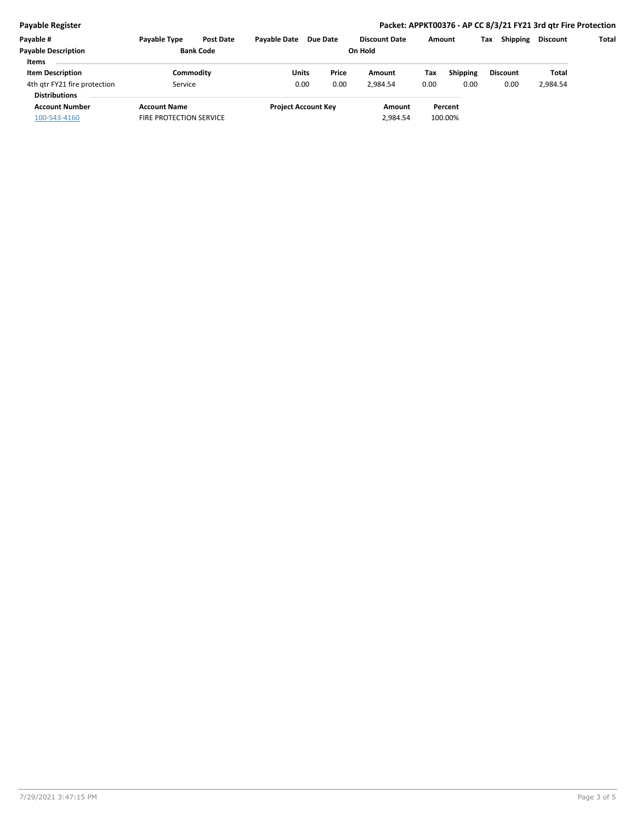## **Payable Register Packet: APPKT00376 - AP CC 8/3/21 FY21 3rd qtr Fire Protection**

| Payable #                    | <b>Payable Type</b>            | <b>Post Date</b> | <b>Pavable Date</b>        | Due Date |  | <b>Discount Date</b> | Amount |                 | Tax | <b>Shipping</b> | Discount | Total |
|------------------------------|--------------------------------|------------------|----------------------------|----------|--|----------------------|--------|-----------------|-----|-----------------|----------|-------|
| <b>Payable Description</b>   | <b>Bank Code</b>               |                  | On Hold                    |          |  |                      |        |                 |     |                 |          |       |
| <b>Items</b>                 |                                |                  |                            |          |  |                      |        |                 |     |                 |          |       |
| <b>Item Description</b>      | Commoditv                      |                  | Units                      | Price    |  | Amount               | Tax    | <b>Shipping</b> |     | <b>Discount</b> | Total    |       |
| 4th gtr FY21 fire protection | Service                        |                  | 0.00                       | 0.00     |  | 2.984.54             | 0.00   | 0.00            |     | 0.00            | 2,984.54 |       |
| <b>Distributions</b>         |                                |                  |                            |          |  |                      |        |                 |     |                 |          |       |
| <b>Account Number</b>        | <b>Account Name</b>            |                  | <b>Project Account Key</b> |          |  | Amount               |        | Percent         |     |                 |          |       |
| 100-543-4160                 | <b>FIRE PROTECTION SERVICE</b> |                  |                            |          |  | 2,984.54             |        | 100.00%         |     |                 |          |       |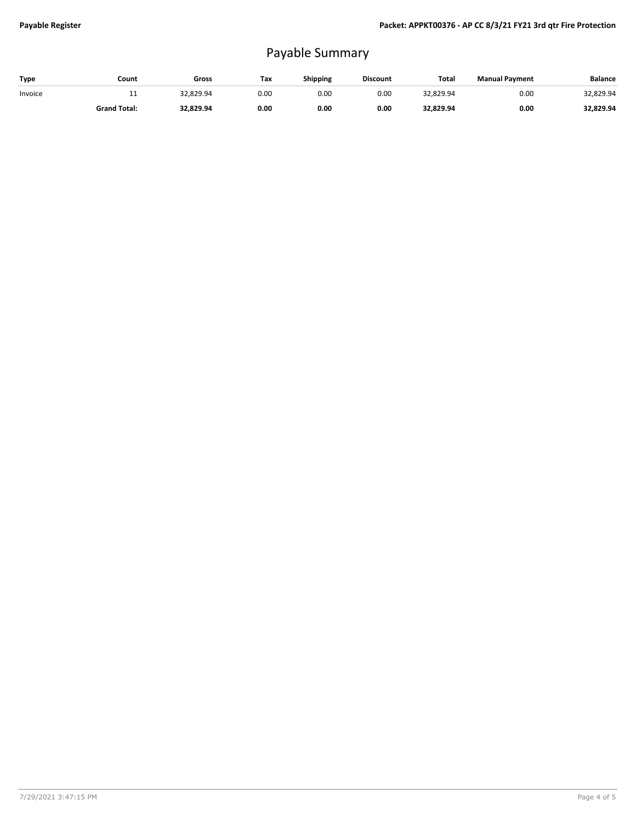## Payable Summary

| Type    | Count               | Gross     | Tax  | Shipping | <b>Discount</b> | Total     | <b>Manual Payment</b> | <b>Balance</b> |
|---------|---------------------|-----------|------|----------|-----------------|-----------|-----------------------|----------------|
| Invoice | <b>. .</b>          | 32.829.94 | 0.00 | 0.00     | 0.00            | 32.829.94 | 0.00                  | 32,829.94      |
|         | <b>Grand Total:</b> | 32,829.94 | 0.00 | 0.00     | 0.00            | 32,829.94 | 0.00                  | 32,829.94      |